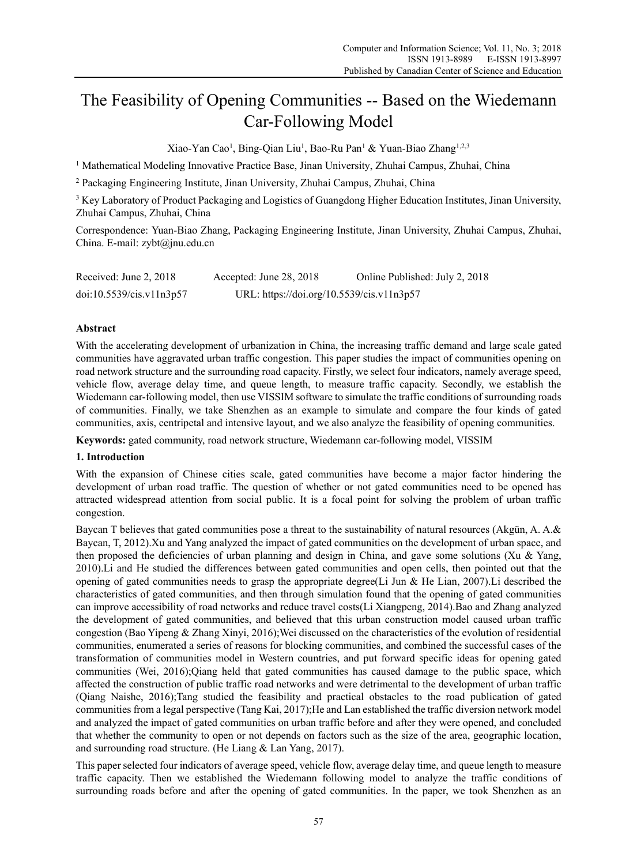# The Feasibility of Opening Communities -- Based on the Wiedemann Car-Following Model

Xiao-Yan Cao<sup>1</sup>, Bing-Qian Liu<sup>1</sup>, Bao-Ru Pan<sup>1</sup> & Yuan-Biao Zhang<sup>1,2,3</sup>

<sup>1</sup> Mathematical Modeling Innovative Practice Base, Jinan University, Zhuhai Campus, Zhuhai, China

2 Packaging Engineering Institute, Jinan University, Zhuhai Campus, Zhuhai, China

<sup>3</sup> Key Laboratory of Product Packaging and Logistics of Guangdong Higher Education Institutes, Jinan University, Zhuhai Campus, Zhuhai, China

Correspondence: Yuan-Biao Zhang, Packaging Engineering Institute, Jinan University, Zhuhai Campus, Zhuhai, China. E-mail: zybt@jnu.edu.cn

| Received: June 2, 2018   | Accepted: June 28, 2018                   | Online Published: July 2, 2018 |
|--------------------------|-------------------------------------------|--------------------------------|
| doi:10.5539/cis.v11n3p57 | URL: https://doi.org/10.5539/cis.v11n3p57 |                                |

# **Abstract**

With the accelerating development of urbanization in China, the increasing traffic demand and large scale gated communities have aggravated urban traffic congestion. This paper studies the impact of communities opening on road network structure and the surrounding road capacity. Firstly, we select four indicators, namely average speed, vehicle flow, average delay time, and queue length, to measure traffic capacity. Secondly, we establish the Wiedemann car-following model, then use VISSIM software to simulate the traffic conditions of surrounding roads of communities. Finally, we take Shenzhen as an example to simulate and compare the four kinds of gated communities, axis, centripetal and intensive layout, and we also analyze the feasibility of opening communities.

**Keywords:** gated community, road network structure, Wiedemann car-following model, VISSIM

# **1. Introduction**

With the expansion of Chinese cities scale, gated communities have become a major factor hindering the development of urban road traffic. The question of whether or not gated communities need to be opened has attracted widespread attention from social public. It is a focal point for solving the problem of urban traffic congestion.

Baycan T believes that gated communities pose a threat to the sustainability of natural resources (Akgün, A. A.& Baycan, T, 2012).Xu and Yang analyzed the impact of gated communities on the development of urban space, and then proposed the deficiencies of urban planning and design in China, and gave some solutions (Xu & Yang, 2010).Li and He studied the differences between gated communities and open cells, then pointed out that the opening of gated communities needs to grasp the appropriate degree(Li Jun & He Lian, 2007). Li described the characteristics of gated communities, and then through simulation found that the opening of gated communities can improve accessibility of road networks and reduce travel costs(Li Xiangpeng, 2014).Bao and Zhang analyzed the development of gated communities, and believed that this urban construction model caused urban traffic congestion (Bao Yipeng & Zhang Xinyi, 2016);Wei discussed on the characteristics of the evolution of residential communities, enumerated a series of reasons for blocking communities, and combined the successful cases of the transformation of communities model in Western countries, and put forward specific ideas for opening gated communities (Wei, 2016);Qiang held that gated communities has caused damage to the public space, which affected the construction of public traffic road networks and were detrimental to the development of urban traffic (Qiang Naishe, 2016);Tang studied the feasibility and practical obstacles to the road publication of gated communities from a legal perspective (Tang Kai, 2017);He and Lan established the traffic diversion network model and analyzed the impact of gated communities on urban traffic before and after they were opened, and concluded that whether the community to open or not depends on factors such as the size of the area, geographic location, and surrounding road structure. (He Liang & Lan Yang, 2017).

This paper selected four indicators of average speed, vehicle flow, average delay time, and queue length to measure traffic capacity. Then we established the Wiedemann following model to analyze the traffic conditions of surrounding roads before and after the opening of gated communities. In the paper, we took Shenzhen as an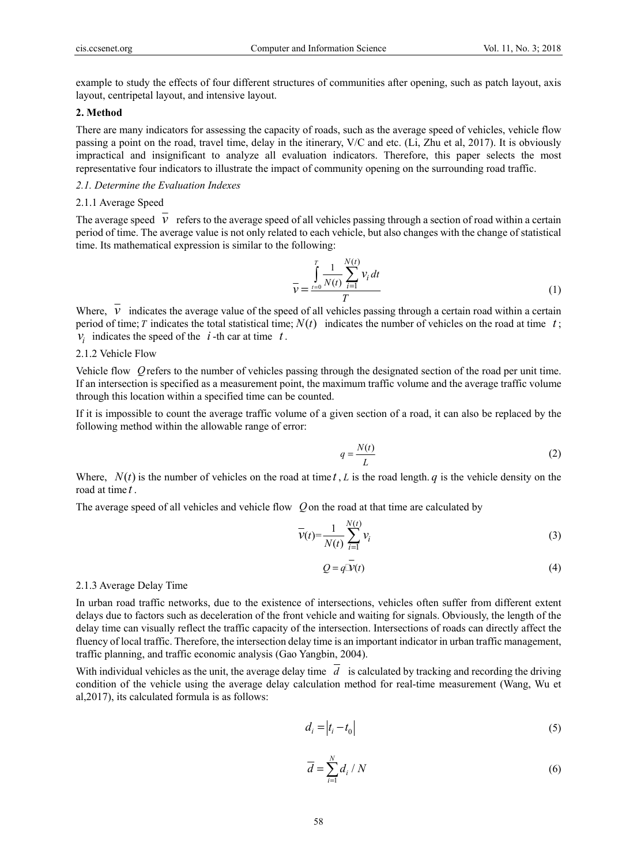example to study the effects of four different structures of communities after opening, such as patch layout, axis layout, centripetal layout, and intensive layout.

# **2. Method**

There are many indicators for assessing the capacity of roads, such as the average speed of vehicles, vehicle flow passing a point on the road, travel time, delay in the itinerary, V/C and etc. (Li, Zhu et al, 2017). It is obviously impractical and insignificant to analyze all evaluation indicators. Therefore, this paper selects the most representative four indicators to illustrate the impact of community opening on the surrounding road traffic.

# *2.1. Determine the Evaluation Indexes*

## 2.1.1 Average Speed

The average speed  $\overline{v}$  refers to the average speed of all vehicles passing through a section of road within a certain period of time. The average value is not only related to each vehicle, but also changes with the change of statistical time. Its mathematical expression is similar to the following:

$$
\bar{\nu} = \frac{\int_{t=0}^{T} \frac{1}{N(t)} \sum_{i=1}^{N(t)} \nu_i dt}{T}
$$
(1)

Where,  $\overline{v}$  indicates the average value of the speed of all vehicles passing through a certain road within a certain period of time; *T* indicates the total statistical time;  $N(t)$  indicates the number of vehicles on the road at time  $t$ ;  $V_i$  indicates the speed of the  $i$ -th car at time  $t$ .

# 2.1.2 Vehicle Flow

Vehicle flow *Q*refers to the number of vehicles passing through the designated section of the road per unit time. If an intersection is specified as a measurement point, the maximum traffic volume and the average traffic volume through this location within a specified time can be counted.

If it is impossible to count the average traffic volume of a given section of a road, it can also be replaced by the following method within the allowable range of error:

$$
q = \frac{N(t)}{L} \tag{2}
$$

Where,  $N(t)$  is the number of vehicles on the road at time *t*, *L* is the road length. *q* is the vehicle density on the road at time *t* .

The average speed of all vehicles and vehicle flow *Q*on the road at that time are calculated by

$$
\overline{\mathcal{V}}(t) = \frac{1}{N(t)} \sum_{i=1}^{N(t)} \mathcal{V}_i
$$
\n(3)

$$
Q = q\overline{\mathcal{V}}(t) \tag{4}
$$

# 2.1.3 Average Delay Time

In urban road traffic networks, due to the existence of intersections, vehicles often suffer from different extent delays due to factors such as deceleration of the front vehicle and waiting for signals. Obviously, the length of the delay time can visually reflect the traffic capacity of the intersection. Intersections of roads can directly affect the fluency of local traffic. Therefore, the intersection delay time is an important indicator in urban traffic management, traffic planning, and traffic economic analysis (Gao Yangbin, 2004).

With individual vehicles as the unit, the average delay time  $\overline{d}$  is calculated by tracking and recording the driving condition of the vehicle using the average delay calculation method for real-time measurement (Wang, Wu et al,2017), its calculated formula is as follows:

$$
d_i = |t_i - t_0| \tag{5}
$$

$$
\overline{d} = \sum_{i=1}^{N} d_i / N \tag{6}
$$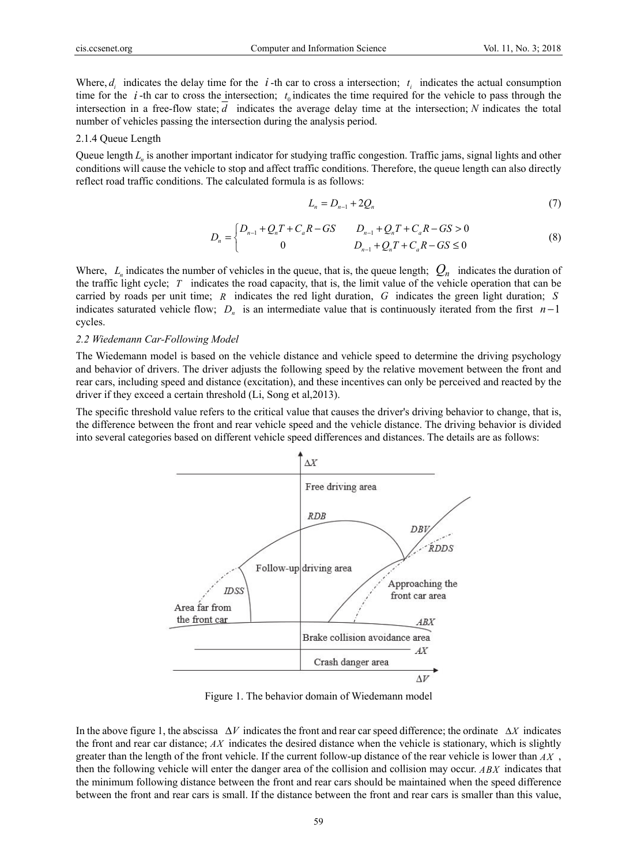Where,  $d_i$  indicates the delay time for the *i*-th car to cross a intersection;  $t_i$  indicates the actual consumption time for the  $i$ -th car to cross the intersection;  $t_0$  indicates the time required for the vehicle to pass through the intersection in a free-flow state; *d* indicates the average delay time at the intersection; *N* indicates the total number of vehicles passing the intersection during the analysis period.

#### 2.1.4 Queue Length

Queue length *L<sub>n</sub>* is another important indicator for studying traffic congestion. Traffic jams, signal lights and other conditions will cause the vehicle to stop and affect traffic conditions. Therefore, the queue length can also directly reflect road traffic conditions. The calculated formula is as follows:

$$
L_n = D_{n-1} + 2Q_n \tag{7}
$$

$$
D_n = \begin{cases} D_{n-1} + Q_n T + C_a R - GS & D_{n-1} + Q_n T + C_a R - GS > 0 \\ 0 & D_{n-1} + Q_n T + C_a R - GS \le 0 \end{cases}
$$
 (8)

Where,  $L_n$  indicates the number of vehicles in the queue, that is, the queue length;  $Q_n$  indicates the duration of the traffic light cycle; *T* indicates the road capacity, that is, the limit value of the vehicle operation that can be carried by roads per unit time; *R* indicates the red light duration, *G* indicates the green light duration; *S* indicates saturated vehicle flow;  $D_n$  is an intermediate value that is continuously iterated from the first  $n-1$ cycles.

#### *2.2 Wiedemann Car-Following Model*

The Wiedemann model is based on the vehicle distance and vehicle speed to determine the driving psychology and behavior of drivers. The driver adjusts the following speed by the relative movement between the front and rear cars, including speed and distance (excitation), and these incentives can only be perceived and reacted by the driver if they exceed a certain threshold (Li, Song et al,2013).

The specific threshold value refers to the critical value that causes the driver's driving behavior to change, that is, the difference between the front and rear vehicle speed and the vehicle distance. The driving behavior is divided into several categories based on different vehicle speed differences and distances. The details are as follows:



Figure 1. The behavior domain of Wiedemann model

In the above figure 1, the abscissa  $\Delta V$  indicates the front and rear car speed difference; the ordinate  $\Delta X$  indicates the front and rear car distance; *AX* indicates the desired distance when the vehicle is stationary, which is slightly greater than the length of the front vehicle. If the current follow-up distance of the rear vehicle is lower than *AX* , then the following vehicle will enter the danger area of the collision and collision may occur. *ABX* indicates that the minimum following distance between the front and rear cars should be maintained when the speed difference between the front and rear cars is small. If the distance between the front and rear cars is smaller than this value,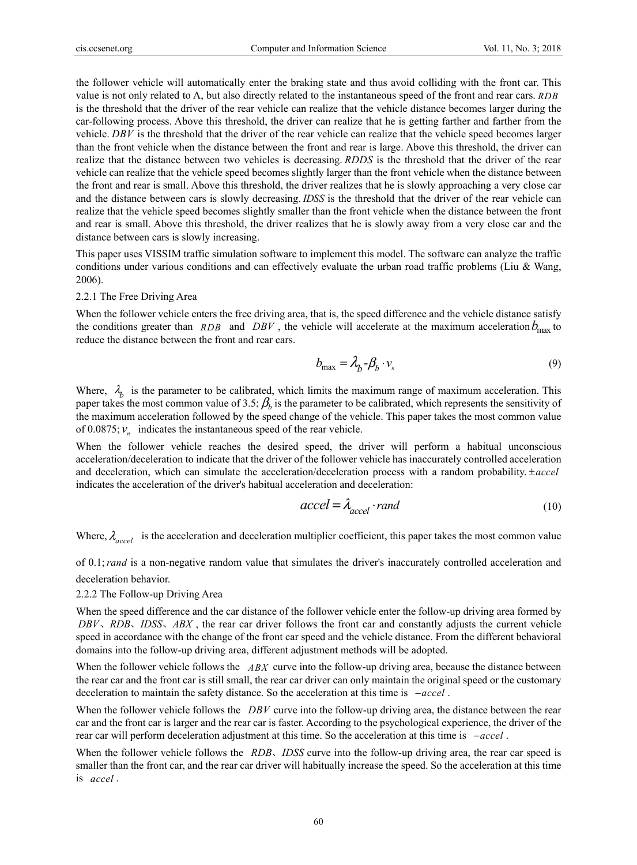the follower vehicle will automatically enter the braking state and thus avoid colliding with the front car. This value is not only related to A, but also directly related to the instantaneous speed of the front and rear cars. *RDB* is the threshold that the driver of the rear vehicle can realize that the vehicle distance becomes larger during the car-following process. Above this threshold, the driver can realize that he is getting farther and farther from the vehicle. *DBV* is the threshold that the driver of the rear vehicle can realize that the vehicle speed becomes larger than the front vehicle when the distance between the front and rear is large. Above this threshold, the driver can realize that the distance between two vehicles is decreasing. *RDDS* is the threshold that the driver of the rear vehicle can realize that the vehicle speed becomes slightly larger than the front vehicle when the distance between the front and rear is small. Above this threshold, the driver realizes that he is slowly approaching a very close car and the distance between cars is slowly decreasing. *IDSS* is the threshold that the driver of the rear vehicle can realize that the vehicle speed becomes slightly smaller than the front vehicle when the distance between the front and rear is small. Above this threshold, the driver realizes that he is slowly away from a very close car and the distance between cars is slowly increasing.

This paper uses VISSIM traffic simulation software to implement this model. The software can analyze the traffic conditions under various conditions and can effectively evaluate the urban road traffic problems (Liu & Wang, 2006).

## 2.2.1 The Free Driving Area

When the follower vehicle enters the free driving area, that is, the speed difference and the vehicle distance satisfy the conditions greater than *RDB* and *DBV*, the vehicle will accelerate at the maximum acceleration  $b_{\text{max}}$  to reduce the distance between the front and rear cars.

$$
b_{\max} = \lambda_b - \beta_b \cdot v_n \tag{9}
$$

Where,  $\lambda_h$  is the parameter to be calibrated, which limits the maximum range of maximum acceleration. This paper takes the most common value of 3.5;  $\beta_b$  is the parameter to be calibrated, which represents the sensitivity of the maximum acceleration followed by the speed change of the vehicle. This paper takes the most common value of  $0.0875$ ;  $v_n$  indicates the instantaneous speed of the rear vehicle.

When the follower vehicle reaches the desired speed, the driver will perform a habitual unconscious acceleration/deceleration to indicate that the driver of the follower vehicle has inaccurately controlled acceleration and deceleration, which can simulate the acceleration/deceleration process with a random probability. ±*accel* indicates the acceleration of the driver's habitual acceleration and deceleration:

$$
accel = \lambda_{accel} \cdot rand \tag{10}
$$

Where,  $\lambda_{accel}$  is the acceleration and deceleration multiplier coefficient, this paper takes the most common value

of 0.1;*rand* is a non-negative random value that simulates the driver's inaccurately controlled acceleration and deceleration behavior.

2.2.2 The Follow-up Driving Area

When the speed difference and the car distance of the follower vehicle enter the follow-up driving area formed by *DBV*, *RDB*, *IDSS*, *ABX*, the rear car driver follows the front car and constantly adjusts the current vehicle speed in accordance with the change of the front car speed and the vehicle distance. From the different behavioral domains into the follow-up driving area, different adjustment methods will be adopted.

When the follower vehicle follows the *ABX* curve into the follow-up driving area, because the distance between the rear car and the front car is still small, the rear car driver can only maintain the original speed or the customary deceleration to maintain the safety distance. So the acceleration at this time is −*accel* .

When the follower vehicle follows the *DBV* curve into the follow-up driving area, the distance between the rear car and the front car is larger and the rear car is faster. According to the psychological experience, the driver of the rear car will perform deceleration adjustment at this time. So the acceleration at this time is −*accel* .

When the follower vehicle follows the *RDB*, *IDSS* curve into the follow-up driving area, the rear car speed is smaller than the front car, and the rear car driver will habitually increase the speed. So the acceleration at this time is *accel* .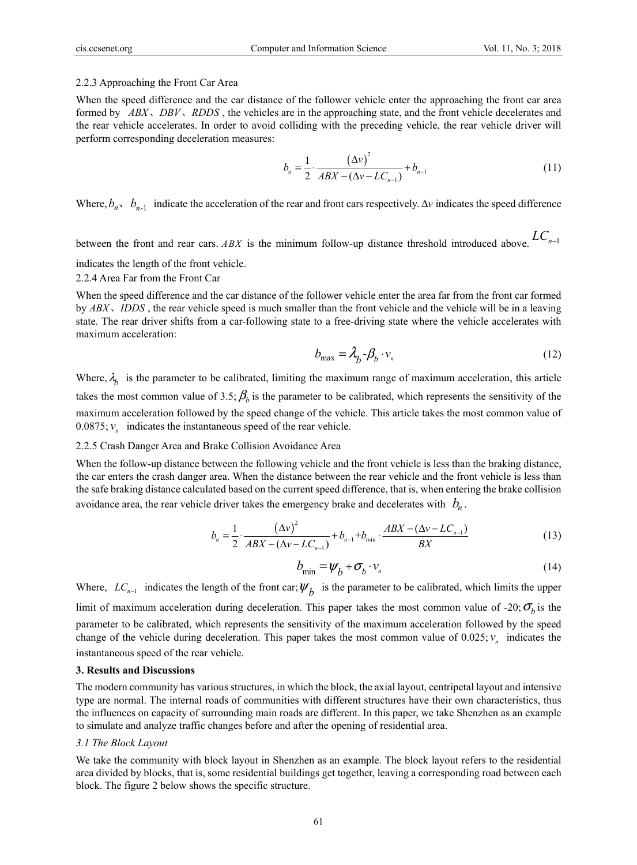#### 2.2.3 Approaching the Front Car Area

When the speed difference and the car distance of the follower vehicle enter the approaching the front car area formed by *ABX*, *DBV*, *RDDS*, the vehicles are in the approaching state, and the front vehicle decelerates and the rear vehicle accelerates. In order to avoid colliding with the preceding vehicle, the rear vehicle driver will perform corresponding deceleration measures:

$$
b_n = \frac{1}{2} \cdot \frac{(\Delta v)^2}{ABX - (\Delta v - LC_{n-1})} + b_{n-1}
$$
\n(11)

Where,  $b_n$ ,  $b_{n-1}$  indicate the acceleration of the rear and front cars respectively.  $\Delta v$  indicates the speed difference

between the front and rear cars. *ABX* is the minimum follow-up distance threshold introduced above.  $LC_{n-1}$ 

indicates the length of the front vehicle.

2.2.4 Area Far from the Front Car

When the speed difference and the car distance of the follower vehicle enter the area far from the front car formed by *ABX*, *IDDS*, the rear vehicle speed is much smaller than the front vehicle and the vehicle will be in a leaving state. The rear driver shifts from a car-following state to a free-driving state where the vehicle accelerates with maximum acceleration:

$$
b_{\text{max}} = \lambda_b - \beta_b \cdot v_n \tag{12}
$$

Where,  $\lambda_h$  is the parameter to be calibrated, limiting the maximum range of maximum acceleration, this article takes the most common value of 3.5;  $\beta<sub>b</sub>$  is the parameter to be calibrated, which represents the sensitivity of the maximum acceleration followed by the speed change of the vehicle. This article takes the most common value of  $0.0875; v_n$  indicates the instantaneous speed of the rear vehicle.

#### 2.2.5 Crash Danger Area and Brake Collision Avoidance Area

When the follow-up distance between the following vehicle and the front vehicle is less than the braking distance, the car enters the crash danger area. When the distance between the rear vehicle and the front vehicle is less than the safe braking distance calculated based on the current speed difference, that is, when entering the brake collision avoidance area, the rear vehicle driver takes the emergency brake and decelerates with  $b_n$ .

$$
b_n = \frac{1}{2} \cdot \frac{(\Delta v)^2}{ABX - (\Delta v - LC_{n-1})} + b_{n-1} + b_{\min} \cdot \frac{ABX - (\Delta v - LC_{n-1})}{BX}
$$
(13)

$$
b_{\min} = \psi_b + \sigma_b \cdot v_n \tag{14}
$$

Where,  $LC_{n-1}$  indicates the length of the front car;  $\psi_h$  is the parameter to be calibrated, which limits the upper limit of maximum acceleration during deceleration. This paper takes the most common value of -20;  $\sigma<sub>b</sub>$  is the parameter to be calibrated, which represents the sensitivity of the maximum acceleration followed by the speed change of the vehicle during deceleration. This paper takes the most common value of  $0.025$ ;  $v_n$  indicates the instantaneous speed of the rear vehicle.

#### **3. Results and Discussions**

The modern community has various structures, in which the block, the axial layout, centripetal layout and intensive type are normal. The internal roads of communities with different structures have their own characteristics, thus the influences on capacity of surrounding main roads are different. In this paper, we take Shenzhen as an example to simulate and analyze traffic changes before and after the opening of residential area.

#### *3.1 The Block Layout*

We take the community with block layout in Shenzhen as an example. The block layout refers to the residential area divided by blocks, that is, some residential buildings get together, leaving a corresponding road between each block. The figure 2 below shows the specific structure.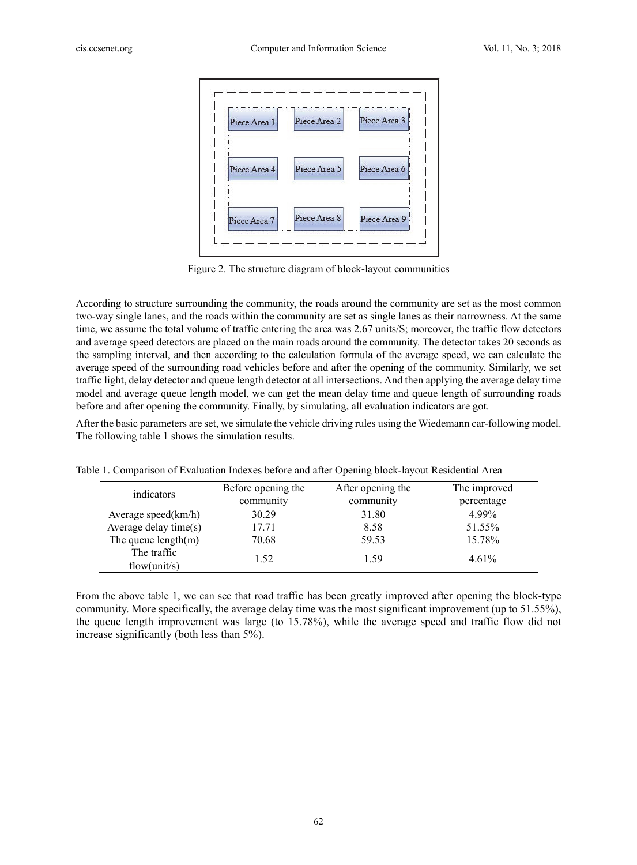

Figure 2. The structure diagram of block-layout communities

According to structure surrounding the community, the roads around the community are set as the most common two-way single lanes, and the roads within the community are set as single lanes as their narrowness. At the same time, we assume the total volume of traffic entering the area was 2.67 units/S; moreover, the traffic flow detectors and average speed detectors are placed on the main roads around the community. The detector takes 20 seconds as the sampling interval, and then according to the calculation formula of the average speed, we can calculate the average speed of the surrounding road vehicles before and after the opening of the community. Similarly, we set traffic light, delay detector and queue length detector at all intersections. And then applying the average delay time model and average queue length model, we can get the mean delay time and queue length of surrounding roads before and after opening the community. Finally, by simulating, all evaluation indicators are got.

After the basic parameters are set, we simulate the vehicle driving rules using the Wiedemann car-following model. The following table 1 shows the simulation results.

| indicators             | Before opening the | After opening the | The improved |
|------------------------|--------------------|-------------------|--------------|
|                        | community          | community         | percentage   |
| Average speed $(km/h)$ | 30.29              | 31.80             | 4.99%        |
| Average delay time(s)  | 17.71              | 8.58              | 51.55%       |
| The queue $length(m)$  | 70.68              | 59.53             | 15.78%       |
| The traffic            | 1.52               | 1.59              | $4.61\%$     |
| flow(unit/s)           |                    |                   |              |

Table 1. Comparison of Evaluation Indexes before and after Opening block-layout Residential Area

From the above table 1, we can see that road traffic has been greatly improved after opening the block-type community. More specifically, the average delay time was the most significant improvement (up to 51.55%), the queue length improvement was large (to 15.78%), while the average speed and traffic flow did not increase significantly (both less than 5%).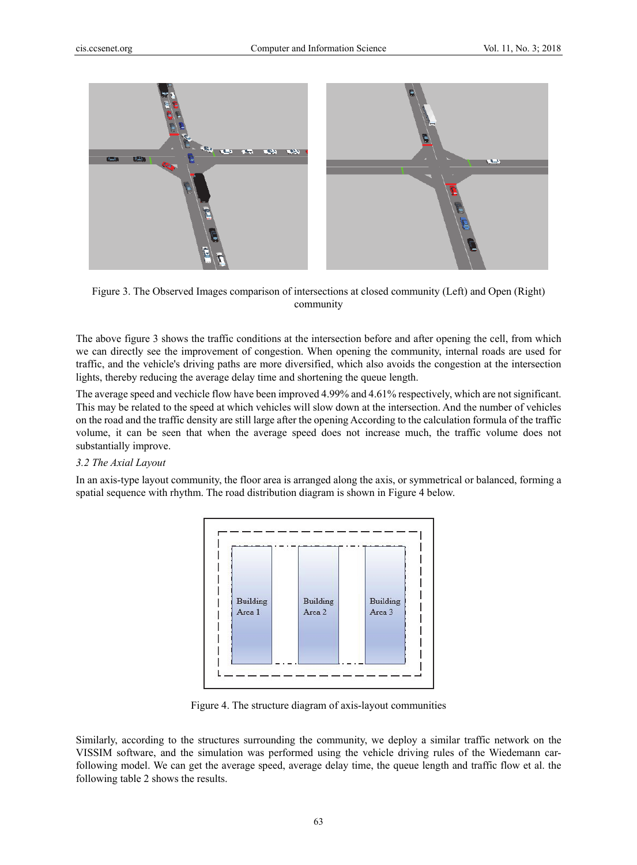

Figure 3. The Observed Images comparison of intersections at closed community (Left) and Open (Right) community

The above figure 3 shows the traffic conditions at the intersection before and after opening the cell, from which we can directly see the improvement of congestion. When opening the community, internal roads are used for traffic, and the vehicle's driving paths are more diversified, which also avoids the congestion at the intersection lights, thereby reducing the average delay time and shortening the queue length.

The average speed and vechicle flow have been improved 4.99% and 4.61% respectively, which are not significant. This may be related to the speed at which vehicles will slow down at the intersection. And the number of vehicles on the road and the traffic density are still large after the opening According to the calculation formula of the traffic volume, it can be seen that when the average speed does not increase much, the traffic volume does not substantially improve.

## *3.2 The Axial Layout*

In an axis-type layout community, the floor area is arranged along the axis, or symmetrical or balanced, forming a spatial sequence with rhythm. The road distribution diagram is shown in Figure 4 below.



Figure 4. The structure diagram of axis-layout communities

Similarly, according to the structures surrounding the community, we deploy a similar traffic network on the VISSIM software, and the simulation was performed using the vehicle driving rules of the Wiedemann carfollowing model. We can get the average speed, average delay time, the queue length and traffic flow et al. the following table 2 shows the results.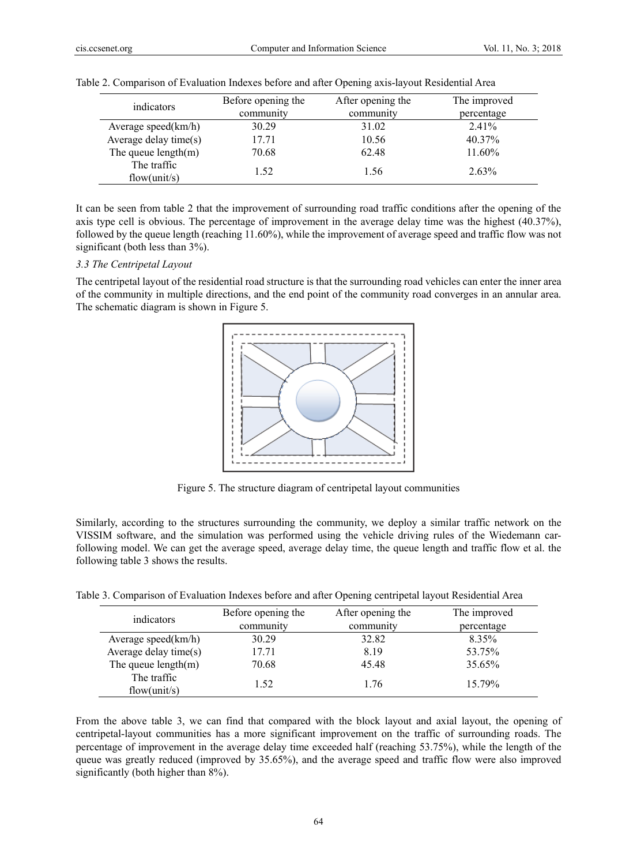| indicators                  | Before opening the<br>community | After opening the<br>community | The improved<br>percentage |
|-----------------------------|---------------------------------|--------------------------------|----------------------------|
| Average speed $(km/h)$      | 30.29                           | 31.02                          | $2.41\%$                   |
| Average delay time(s)       | 17.71                           | 10.56                          | 40.37%                     |
| The queue $length(m)$       | 70.68                           | 62.48                          | 11.60%                     |
| The traffic<br>flow(unit/s) | 1.52                            | 1.56                           | 2.63%                      |

|  | Table 2. Comparison of Evaluation Indexes before and after Opening axis-layout Residential Area |  |  |  |  |
|--|-------------------------------------------------------------------------------------------------|--|--|--|--|
|  |                                                                                                 |  |  |  |  |

It can be seen from table 2 that the improvement of surrounding road traffic conditions after the opening of the axis type cell is obvious. The percentage of improvement in the average delay time was the highest (40.37%), followed by the queue length (reaching 11.60%), while the improvement of average speed and traffic flow was not significant (both less than 3%).

# *3.3 The Centripetal Layout*

The centripetal layout of the residential road structure is that the surrounding road vehicles can enter the inner area of the community in multiple directions, and the end point of the community road converges in an annular area. The schematic diagram is shown in Figure 5.



Figure 5. The structure diagram of centripetal layout communities

Similarly, according to the structures surrounding the community, we deploy a similar traffic network on the VISSIM software, and the simulation was performed using the vehicle driving rules of the Wiedemann carfollowing model. We can get the average speed, average delay time, the queue length and traffic flow et al. the following table 3 shows the results.

Table 3. Comparison of Evaluation Indexes before and after Opening centripetal layout Residential Area

| indicators                  | Before opening the<br>community | After opening the<br>community | The improved<br>percentage |
|-----------------------------|---------------------------------|--------------------------------|----------------------------|
| Average speed $(km/h)$      | 30.29                           | 32.82                          | 8.35%                      |
| Average delay time(s)       | 17.71                           | 8.19                           | 53.75%                     |
| The queue $length(m)$       | 70.68                           | 45.48                          | 35.65%                     |
| The traffic<br>flow(unit/s) | 1.52                            | 1.76                           | 15.79%                     |

From the above table 3, we can find that compared with the block layout and axial layout, the opening of centripetal-layout communities has a more significant improvement on the traffic of surrounding roads. The percentage of improvement in the average delay time exceeded half (reaching 53.75%), while the length of the queue was greatly reduced (improved by 35.65%), and the average speed and traffic flow were also improved significantly (both higher than 8%).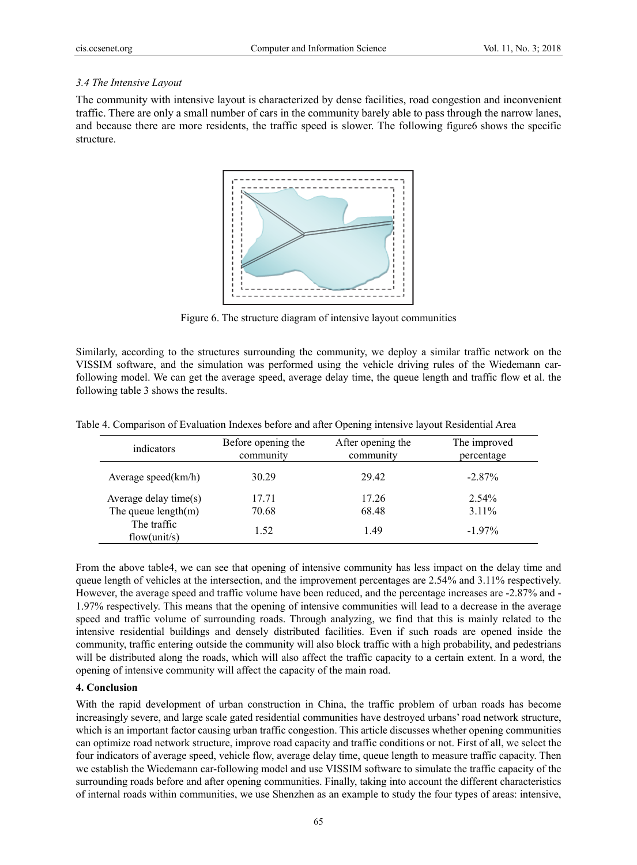# *3.4 The Intensive Layout*

The community with intensive layout is characterized by dense facilities, road congestion and inconvenient traffic. There are only a small number of cars in the community barely able to pass through the narrow lanes, and because there are more residents, the traffic speed is slower. The following figure6 shows the specific structure.



Figure 6. The structure diagram of intensive layout communities

Similarly, according to the structures surrounding the community, we deploy a similar traffic network on the VISSIM software, and the simulation was performed using the vehicle driving rules of the Wiedemann carfollowing model. We can get the average speed, average delay time, the queue length and traffic flow et al. the following table 3 shows the results.

| indicators                  | Before opening the<br>community | After opening the<br>community | The improved<br>percentage |
|-----------------------------|---------------------------------|--------------------------------|----------------------------|
| Average speed $(km/h)$      | 30.29                           | 29.42                          | $-2.87\%$                  |
| Average delay time $(s)$    | 17.71                           | 17.26                          | $2.54\%$                   |
| The queue $length(m)$       | 70.68                           | 68.48                          | $3.11\%$                   |
| The traffic<br>flow(unit/s) | 1.52                            | 1.49                           | $-1.97\%$                  |

Table 4. Comparison of Evaluation Indexes before and after Opening intensive layout Residential Area

From the above table4, we can see that opening of intensive community has less impact on the delay time and queue length of vehicles at the intersection, and the improvement percentages are 2.54% and 3.11% respectively. However, the average speed and traffic volume have been reduced, and the percentage increases are -2.87% and - 1.97% respectively. This means that the opening of intensive communities will lead to a decrease in the average speed and traffic volume of surrounding roads. Through analyzing, we find that this is mainly related to the intensive residential buildings and densely distributed facilities. Even if such roads are opened inside the community, traffic entering outside the community will also block traffic with a high probability, and pedestrians will be distributed along the roads, which will also affect the traffic capacity to a certain extent. In a word, the opening of intensive community will affect the capacity of the main road.

# **4. Conclusion**

With the rapid development of urban construction in China, the traffic problem of urban roads has become increasingly severe, and large scale gated residential communities have destroyed urbans' road network structure, which is an important factor causing urban traffic congestion. This article discusses whether opening communities can optimize road network structure, improve road capacity and traffic conditions or not. First of all, we select the four indicators of average speed, vehicle flow, average delay time, queue length to measure traffic capacity. Then we establish the Wiedemann car-following model and use VISSIM software to simulate the traffic capacity of the surrounding roads before and after opening communities. Finally, taking into account the different characteristics of internal roads within communities, we use Shenzhen as an example to study the four types of areas: intensive,